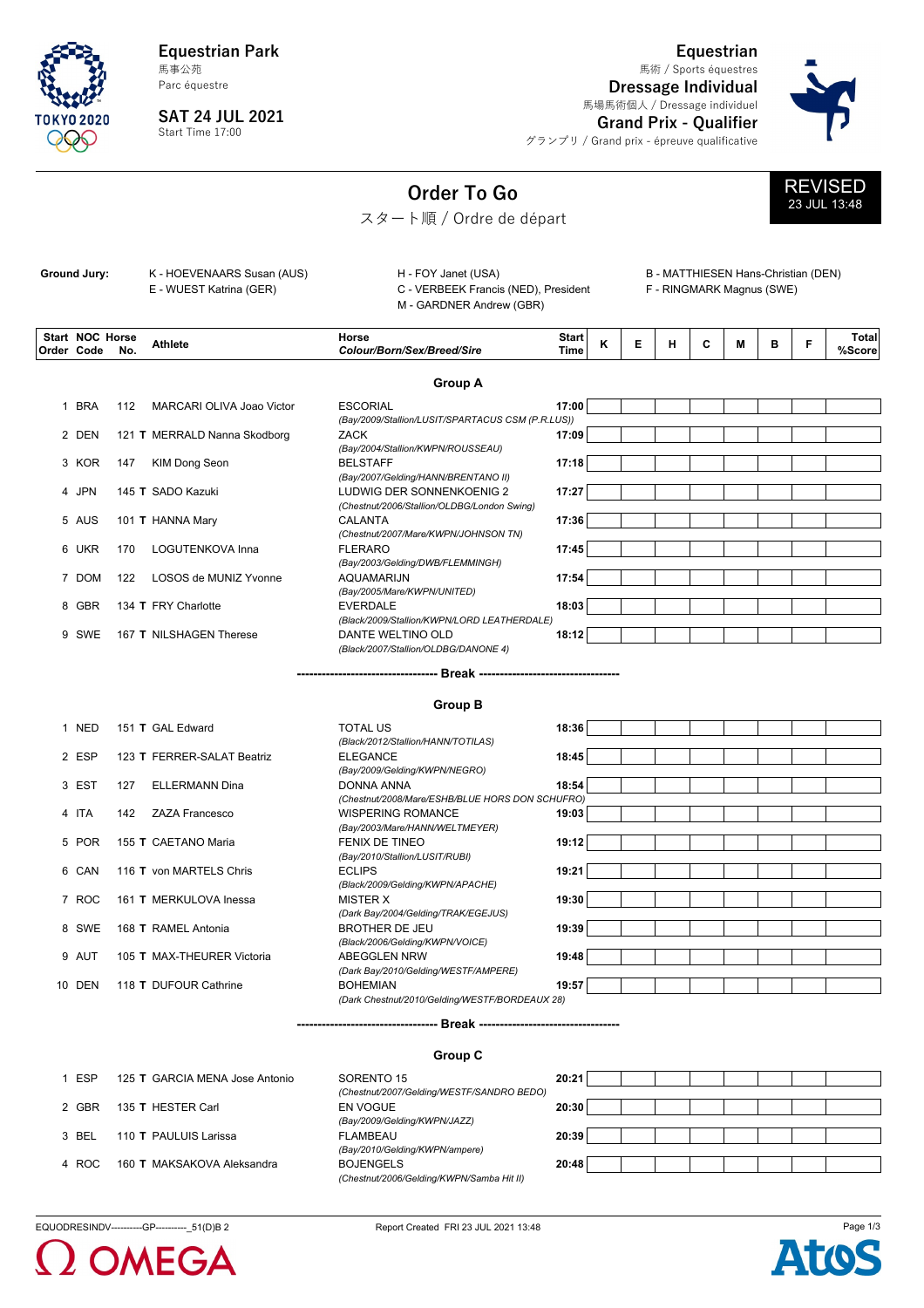**Equestrian Park** 馬事公苑

Parc équestre

**SAT 24 JUL 2021** Start Time 17:00

**Equestrian** 馬術 / Sports équestres

**Dressage Individual** 馬場馬術個人 / Dressage individuel



**Grand Prix - Qualifier** グランプリ / Grand prix - épreuve qualificative

## **Order To Go**





スタート順 / Ordre de départ

| Ground Jury: | K - HOEVENAARS Susan (AUS) | H - FOY Janet (USA)                  |
|--------------|----------------------------|--------------------------------------|
|              | E - WUEST Katrina (GER)    | C - VERBEEK Francis (NED), President |
|              |                            | M - GARDNER Andrew (GBR)             |

B - MATTHIESEN Hans-Christian (DEN) F - RINGMARK Magnus (SWE)

| <b>Start NOC Horse</b><br>Order Code | No. | <b>Athlete</b>               | Horse<br>Colour/Born/Sex/Breed/Sire                                  | <b>Start</b><br>Time | κ | Е | н | C | М | в | F | <b>Total</b><br>%Score |
|--------------------------------------|-----|------------------------------|----------------------------------------------------------------------|----------------------|---|---|---|---|---|---|---|------------------------|
|                                      |     |                              | <b>Group A</b>                                                       |                      |   |   |   |   |   |   |   |                        |
| 1 BRA                                | 112 | MARCARI OLIVA Joao Victor    | <b>ESCORIAL</b><br>(Bay/2009/Stallion/LUSIT/SPARTACUS CSM (P.R.LUS)) | 17:00                |   |   |   |   |   |   |   |                        |
| 2 DEN                                |     | 121 T MERRALD Nanna Skodborg | <b>ZACK</b>                                                          | 17:09                |   |   |   |   |   |   |   |                        |
|                                      |     |                              | (Bay/2004/Stallion/KWPN/ROUSSEAU)                                    |                      |   |   |   |   |   |   |   |                        |
| 3 KOR                                | 147 | KIM Dong Seon                | <b>BELSTAFF</b>                                                      | 17:18                |   |   |   |   |   |   |   |                        |
|                                      |     |                              | (Bay/2007/Gelding/HANN/BRENTANO II)                                  |                      |   |   |   |   |   |   |   |                        |
| 4 JPN                                |     | 145 T SADO Kazuki            | LUDWIG DER SONNENKOENIG 2                                            | 17:27                |   |   |   |   |   |   |   |                        |
|                                      |     |                              | (Chestnut/2006/Stallion/OLDBG/London Swing)                          |                      |   |   |   |   |   |   |   |                        |
| 5 AUS                                |     | 101 T HANNA Mary             | <b>CALANTA</b>                                                       | 17:36                |   |   |   |   |   |   |   |                        |
|                                      |     |                              | (Chestnut/2007/Mare/KWPN/JOHNSON TN)                                 |                      |   |   |   |   |   |   |   |                        |
| 6 UKR                                | 170 | LOGUTENKOVA Inna             | <b>FLERARO</b>                                                       | 17:45                |   |   |   |   |   |   |   |                        |
|                                      |     |                              | (Bay/2003/Gelding/DWB/FLEMMINGH)                                     |                      |   |   |   |   |   |   |   |                        |
| 7 DOM                                | 122 | LOSOS de MUNIZ Yvonne        | <b>AQUAMARIJN</b>                                                    | 17:54                |   |   |   |   |   |   |   |                        |
|                                      |     |                              | (Bay/2005/Mare/KWPN/UNITED)                                          |                      |   |   |   |   |   |   |   |                        |
| 8 GBR                                |     | 134 T FRY Charlotte          | <b>EVERDALE</b>                                                      | 18:03                |   |   |   |   |   |   |   |                        |
|                                      |     |                              | (Black/2009/Stallion/KWPN/LORD LEATHERDALE)                          |                      |   |   |   |   |   |   |   |                        |
| 9 SWE                                |     | 167 T NILSHAGEN Therese      | DANTE WELTINO OLD                                                    | 18:12                |   |   |   |   |   |   |   |                        |
|                                      |     |                              | (Black/2007/Stallion/OLDBG/DANONE 4)                                 |                      |   |   |   |   |   |   |   |                        |

**---------------------------------- Break ----------------------------------**

**Group B**

| <b>NED</b> |     | 151 T GAL Edward           | <b>TOTAL US</b>                                 | 18:36 |  |  |  |  |
|------------|-----|----------------------------|-------------------------------------------------|-------|--|--|--|--|
|            |     |                            | (Black/2012/Stallion/HANN/TOTILAS)              |       |  |  |  |  |
| 2 ESP      |     | 123 T FERRER-SALAT Beatriz | <b>ELEGANCE</b>                                 | 18:45 |  |  |  |  |
|            |     |                            | (Bay/2009/Gelding/KWPN/NEGRO)                   |       |  |  |  |  |
| 3 EST      | 127 | ELLERMANN Dina             | DONNA ANNA                                      | 18:54 |  |  |  |  |
|            |     |                            | (Chestnut/2008/Mare/ESHB/BLUE HORS DON SCHUFRO) |       |  |  |  |  |
| 4 ITA      | 142 | ZAZA Francesco             | <b>WISPERING ROMANCE</b>                        | 19:03 |  |  |  |  |
|            |     |                            | (Bay/2003/Mare/HANN/WELTMEYER)                  |       |  |  |  |  |
| 5 POR      |     | 155 T CAETANO Maria        | <b>FENIX DE TINEO</b>                           | 19:12 |  |  |  |  |
|            |     |                            | (Bay/2010/Stallion/LUSIT/RUBI)                  |       |  |  |  |  |
| 6 CAN      |     | 116 T von MARTELS Chris    | <b>ECLIPS</b>                                   | 19:21 |  |  |  |  |
|            |     |                            | (Black/2009/Gelding/KWPN/APACHE)                |       |  |  |  |  |
| 7 ROC      |     | 161 T MERKULOVA Inessa     | <b>MISTER X</b>                                 | 19:30 |  |  |  |  |
|            |     |                            | (Dark Bay/2004/Gelding/TRAK/EGEJUS)             |       |  |  |  |  |
| 8 SWE      |     | 168 T RAMEL Antonia        | <b>BROTHER DE JEU</b>                           | 19:39 |  |  |  |  |
|            |     |                            | (Black/2006/Gelding/KWPN/VOICE)                 |       |  |  |  |  |
| 9 AUT      |     | 105 T MAX-THEURER Victoria | <b>ABEGGLEN NRW</b>                             | 19:48 |  |  |  |  |
|            |     |                            | (Dark Bay/2010/Gelding/WESTF/AMPERE)            |       |  |  |  |  |
| 10 DEN     |     | 118 T DUFOUR Cathrine      | <b>BOHEMIAN</b>                                 | 19:57 |  |  |  |  |
|            |     |                            | (Dark Chestnut/2010/Gelding/WESTF/BORDEAUX 28)  |       |  |  |  |  |
|            |     |                            |                                                 |       |  |  |  |  |

**---------------------------------- Break ----------------------------------**

**Group C** ESP 125 GARCIA MENA Jose Antonio SORENTO 15 1 **T 20:21** *(Chestnut/2007/Gelding/WESTF/SANDRO BEDO)* GBR 135 HESTER Carl EN VOGUE 2 **T 20:30** *(Bay/2009/Gelding/KWPN/JAZZ)* BEL 110 PAULUIS Larissa FLAMBEAU 3 **T 20:39** *(Bay/2010/Gelding/KWPN/ampere)* ROC 160 MAKSAKOVA Aleksandra BOJENGELS 4 **T 20:48** *(Chestnut/2006/Gelding/KWPN/Samba Hit II)*





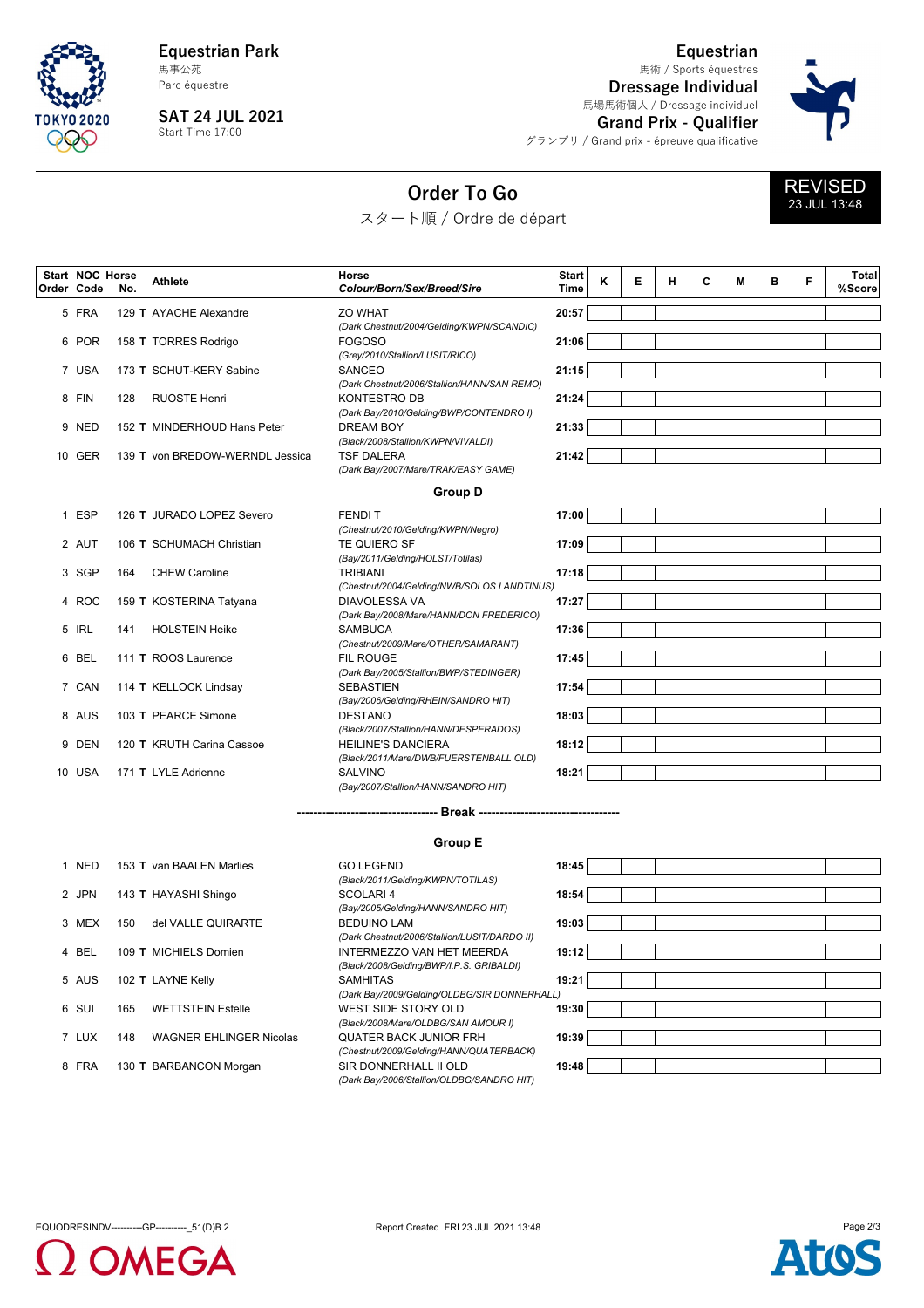

**Equestrian Park** 馬事公苑

Parc équestre

**SAT 24 JUL 2021** Start Time 17:00

**Equestrian** 馬術 / Sports équestres

**Dressage Individual** 馬場馬術個人 / Dressage individuel



**Grand Prix - Qualifier** グランプリ / Grand prix - épreuve qualificative

## **Order To Go**

スタート順 / Ordre de départ



**Athlete No. NOC Horse Start Code Order Horse** *Colour/Born/Sex/Breed/Sire* **Start Time Total %Score <sup>K</sup> <sup>E</sup> <sup>H</sup> <sup>C</sup> <sup>M</sup> <sup>B</sup> <sup>F</sup>** 5 FRA 129 T AYACHE Alexandre **Example 20:57 20:57** *(Dark Chestnut/2004/Gelding/KWPN/SCANDIC)* POR 158 TORRES Rodrigo FOGOSO 6 **T 21:06** *(Grey/2010/Stallion/LUSIT/RICO)* USA 173 SCHUT-KERY Sabine SANCEO 7 **T 21:15** *(Dark Chestnut/2006/Stallion/HANN/SAN REMO)* 8 FIN 128 RUOSTE Henri KONTESTRO DB **21:24** *(Dark Bay/2010/Gelding/BWP/CONTENDRO I)* 9 NED 152 T MINDERHOUD Hans Peter DREAM BOY **DREAM BOY** 21:33 *(Black/2008/Stallion/KWPN/VIVALDI)* GER 139 von BREDOW-WERNDL Jessica TSF DALERA 10 **T 21:42** *(Dark Bay/2007/Mare/TRAK/EASY GAME)* **Group D** ESP 126 JURADO LOPEZ Severo FENDI T 1 **T 17:00** *(Chestnut/2010/Gelding/KWPN/Negro)* 2 AUT 106 T SCHUMACH Christian **TE QUIERO SF** 17:09 *(Bay/2011/Gelding/HOLST/Totilas)* SGP 164 CHEW Caroline TRIBIANI 3 **17:18** *(Chestnut/2004/Gelding/NWB/SOLOS LANDTINUS)* ROC 159 KOSTERINA Tatyana DIAVOLESSA VA 4 **T 17:27** *(Dark Bay/2008/Mare/HANN/DON FREDERICO)* IRL 141 HOLSTEIN Heike SAMBUCA 5 **17:36** *(Chestnut/2009/Mare/OTHER/SAMARANT)* BEL 111 ROOS Laurence FIL ROUGE 6 **T 17:45** *(Dark Bay/2005/Stallion/BWP/STEDINGER)* CAN 114 KELLOCK Lindsay SEBASTIEN 7 **T 17:54** *(Bay/2006/Gelding/RHEIN/SANDRO HIT)* AUS 103 PEARCE Simone DESTANO 8 **T 18:03** *(Black/2007/Stallion/HANN/DESPERADOS)* DEN 120 KRUTH Carina Cassoe HEILINE'S DANCIERA 9 **T 18:12** *(Black/2011/Mare/DWB/FUERSTENBALL OLD)* USA 171 LYLE Adrienne SALVINO 10 **T 18:21** *(Bay/2007/Stallion/HANN/SANDRO HIT)*

> --- Break ---**Group E**

*(Dark Bay/2006/Stallion/OLDBG/SANDRO HIT)*

1 NED 153 T van BAALEN Marlies **GO LEGEND** 60 **18:45** JPN 143 HAYASHI Shingo SCOLARI 4 2 **T 18:54** MEX 150 del VALLE QUIRARTE BEDUINO LAM 3 **19:03** 4 BEL 109 T MICHIELS Domien **INTERMEZZO VAN HET MEERDA** 19:12 AUS 102 LAYNE Kelly SAMHITAS 5 **T 19:21** SUI 165 WETTSTEIN Estelle WEST SIDE STORY OLD 6 **19:30** LUX 148 WAGNER EHLINGER Nicolas QUATER BACK JUNIOR FRH 7 **19:39** 8 FRA 130 **T** BARBANCON Morgan SIR DONNERHALL II OLD **19:48** 

| <b>GO LEGEND</b>                             | 18:45 |  |  |  |  |
|----------------------------------------------|-------|--|--|--|--|
| (Black/2011/Gelding/KWPN/TOTILAS)            |       |  |  |  |  |
| SCOLARI <sub>4</sub>                         | 18:54 |  |  |  |  |
| (Bay/2005/Gelding/HANN/SANDRO HIT)           |       |  |  |  |  |
| <b>BEDUINO LAM</b>                           | 19:03 |  |  |  |  |
| (Dark Chestnut/2006/Stallion/LUSIT/DARDO II) |       |  |  |  |  |
| INTERMEZZO VAN HET MEERDA                    | 19:12 |  |  |  |  |
| (Black/2008/Gelding/BWP/I.P.S. GRIBALDI)     |       |  |  |  |  |
| <b>SAMHITAS</b>                              | 19:21 |  |  |  |  |
| (Dark Bay/2009/Gelding/OLDBG/SIR DONNERHALL) |       |  |  |  |  |
| WEST SIDE STORY OLD                          | 19:30 |  |  |  |  |
| (Black/2008/Mare/OLDBG/SAN AMOUR I)          |       |  |  |  |  |
| <b>OUATER BACK JUNIOR FRH</b>                | 19:39 |  |  |  |  |
| (Chestnut/2009/Gelding/HANN/QUATERBACK)      |       |  |  |  |  |
| SIR DONNERHALL II OLD                        | 19:48 |  |  |  |  |
|                                              |       |  |  |  |  |